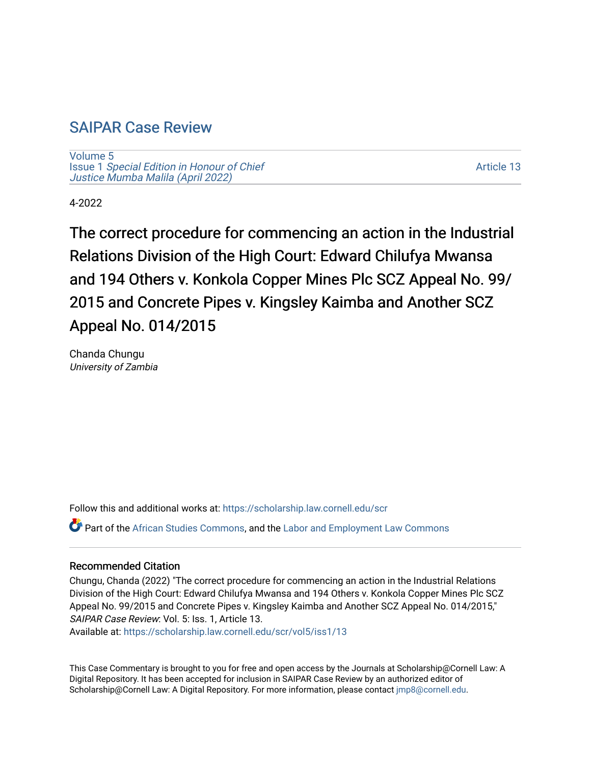# [SAIPAR Case Review](https://scholarship.law.cornell.edu/scr)

[Volume 5](https://scholarship.law.cornell.edu/scr/vol5) Issue 1 [Special Edition in Honour of Chief](https://scholarship.law.cornell.edu/scr/vol5/iss1) [Justice Mumba Malila \(April 2022\)](https://scholarship.law.cornell.edu/scr/vol5/iss1)

[Article 13](https://scholarship.law.cornell.edu/scr/vol5/iss1/13) 

4-2022

The correct procedure for commencing an action in the Industrial Relations Division of the High Court: Edward Chilufya Mwansa and 194 Others v. Konkola Copper Mines Plc SCZ Appeal No. 99/ 2015 and Concrete Pipes v. Kingsley Kaimba and Another SCZ Appeal No. 014/2015

Chanda Chungu University of Zambia

Follow this and additional works at: [https://scholarship.law.cornell.edu/scr](https://scholarship.law.cornell.edu/scr?utm_source=scholarship.law.cornell.edu%2Fscr%2Fvol5%2Fiss1%2F13&utm_medium=PDF&utm_campaign=PDFCoverPages) 

Part of the [African Studies Commons,](https://network.bepress.com/hgg/discipline/1043?utm_source=scholarship.law.cornell.edu%2Fscr%2Fvol5%2Fiss1%2F13&utm_medium=PDF&utm_campaign=PDFCoverPages) and the [Labor and Employment Law Commons](https://network.bepress.com/hgg/discipline/909?utm_source=scholarship.law.cornell.edu%2Fscr%2Fvol5%2Fiss1%2F13&utm_medium=PDF&utm_campaign=PDFCoverPages) 

#### Recommended Citation

Chungu, Chanda (2022) "The correct procedure for commencing an action in the Industrial Relations Division of the High Court: Edward Chilufya Mwansa and 194 Others v. Konkola Copper Mines Plc SCZ Appeal No. 99/2015 and Concrete Pipes v. Kingsley Kaimba and Another SCZ Appeal No. 014/2015," SAIPAR Case Review: Vol. 5: Iss. 1, Article 13.

Available at: [https://scholarship.law.cornell.edu/scr/vol5/iss1/13](https://scholarship.law.cornell.edu/scr/vol5/iss1/13?utm_source=scholarship.law.cornell.edu%2Fscr%2Fvol5%2Fiss1%2F13&utm_medium=PDF&utm_campaign=PDFCoverPages) 

This Case Commentary is brought to you for free and open access by the Journals at Scholarship@Cornell Law: A Digital Repository. It has been accepted for inclusion in SAIPAR Case Review by an authorized editor of Scholarship@Cornell Law: A Digital Repository. For more information, please contact [jmp8@cornell.edu](mailto:jmp8@cornell.edu).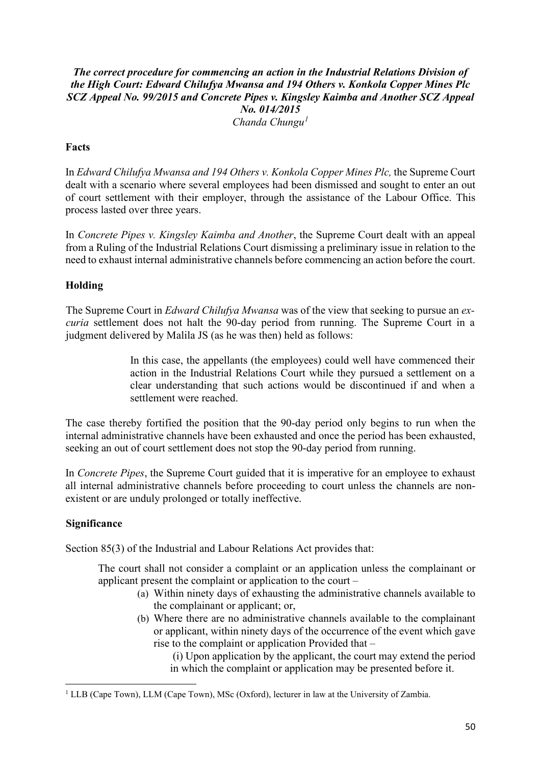### *The correct procedure for commencing an action in the Industrial Relations Division of the High Court: Edward Chilufya Mwansa and 194 Others v. Konkola Copper Mines Plc SCZ Appeal No. 99/2015 and Concrete Pipes v. Kingsley Kaimba and Another SCZ Appeal No. 014/2015 Chanda Chungu[1](#page-1-0)*

## **Facts**

In *Edward Chilufya Mwansa and 194 Others v. Konkola Copper Mines Plc,* the Supreme Court dealt with a scenario where several employees had been dismissed and sought to enter an out of court settlement with their employer, through the assistance of the Labour Office. This process lasted over three years.

In *Concrete Pipes v. Kingsley Kaimba and Another*, the Supreme Court dealt with an appeal from a Ruling of the Industrial Relations Court dismissing a preliminary issue in relation to the need to exhaust internal administrative channels before commencing an action before the court.

#### **Holding**

The Supreme Court in *Edward Chilufya Mwansa* was of the view that seeking to pursue an *excuria* settlement does not halt the 90-day period from running. The Supreme Court in a judgment delivered by Malila JS (as he was then) held as follows:

> In this case, the appellants (the employees) could well have commenced their action in the Industrial Relations Court while they pursued a settlement on a clear understanding that such actions would be discontinued if and when a settlement were reached.

The case thereby fortified the position that the 90-day period only begins to run when the internal administrative channels have been exhausted and once the period has been exhausted, seeking an out of court settlement does not stop the 90-day period from running.

In *Concrete Pipes*, the Supreme Court guided that it is imperative for an employee to exhaust all internal administrative channels before proceeding to court unless the channels are nonexistent or are unduly prolonged or totally ineffective.

#### **Significance**

Section 85(3) of the Industrial and Labour Relations Act provides that:

The court shall not consider a complaint or an application unless the complainant or applicant present the complaint or application to the court –

- (a) Within ninety days of exhausting the administrative channels available to the complainant or applicant; or,
- (b) Where there are no administrative channels available to the complainant or applicant, within ninety days of the occurrence of the event which gave rise to the complaint or application Provided that –

 (i) Upon application by the applicant, the court may extend the period in which the complaint or application may be presented before it.

<span id="page-1-0"></span><sup>&</sup>lt;sup>1</sup> LLB (Cape Town), LLM (Cape Town), MSc (Oxford), lecturer in law at the University of Zambia.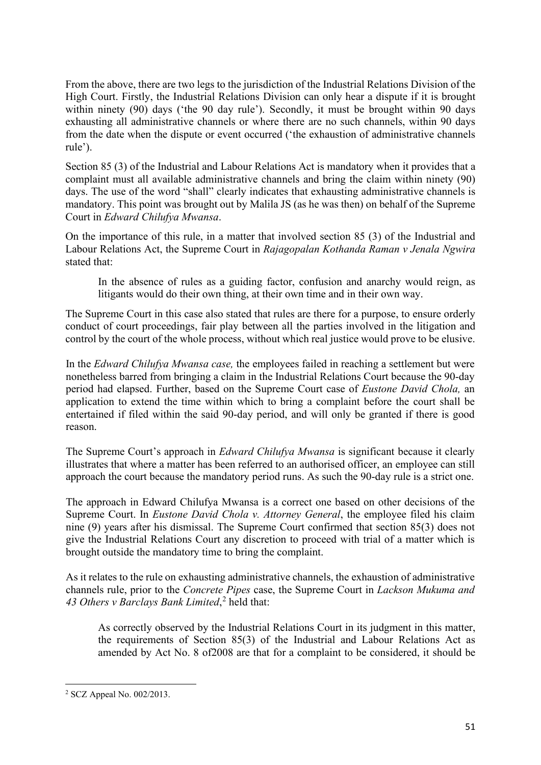From the above, there are two legs to the jurisdiction of the Industrial Relations Division of the High Court. Firstly, the Industrial Relations Division can only hear a dispute if it is brought within ninety (90) days ('the 90 day rule'). Secondly, it must be brought within 90 days exhausting all administrative channels or where there are no such channels, within 90 days from the date when the dispute or event occurred ('the exhaustion of administrative channels rule').

Section 85 (3) of the Industrial and Labour Relations Act is mandatory when it provides that a complaint must all available administrative channels and bring the claim within ninety (90) days. The use of the word "shall" clearly indicates that exhausting administrative channels is mandatory. This point was brought out by Malila JS (as he was then) on behalf of the Supreme Court in *Edward Chilufya Mwansa*.

On the importance of this rule, in a matter that involved section 85 (3) of the Industrial and Labour Relations Act, the Supreme Court in *Rajagopalan Kothanda Raman v Jenala Ngwira* stated that:

In the absence of rules as a guiding factor, confusion and anarchy would reign, as litigants would do their own thing, at their own time and in their own way.

The Supreme Court in this case also stated that rules are there for a purpose, to ensure orderly conduct of court proceedings, fair play between all the parties involved in the litigation and control by the court of the whole process, without which real justice would prove to be elusive.

In the *Edward Chilufya Mwansa case,* the employees failed in reaching a settlement but were nonetheless barred from bringing a claim in the Industrial Relations Court because the 90-day period had elapsed. Further, based on the Supreme Court case of *Eustone David Chola,* an application to extend the time within which to bring a complaint before the court shall be entertained if filed within the said 90-day period, and will only be granted if there is good reason.

The Supreme Court's approach in *Edward Chilufya Mwansa* is significant because it clearly illustrates that where a matter has been referred to an authorised officer, an employee can still approach the court because the mandatory period runs. As such the 90-day rule is a strict one.

The approach in Edward Chilufya Mwansa is a correct one based on other decisions of the Supreme Court. In *Eustone David Chola v. Attorney General*, the employee filed his claim nine (9) years after his dismissal. The Supreme Court confirmed that section 85(3) does not give the Industrial Relations Court any discretion to proceed with trial of a matter which is brought outside the mandatory time to bring the complaint.

As it relates to the rule on exhausting administrative channels, the exhaustion of administrative channels rule, prior to the *Concrete Pipes* case, the Supreme Court in *Lackson Mukuma and 43 Others v Barclays Bank Limited*, [2](#page-2-0) held that:

As correctly observed by the Industrial Relations Court in its judgment in this matter, the requirements of Section 85(3) of the Industrial and Labour Relations Act as amended by Act No. 8 of2008 are that for a complaint to be considered, it should be

<span id="page-2-0"></span><sup>2</sup> SCZ Appeal No. 002/2013.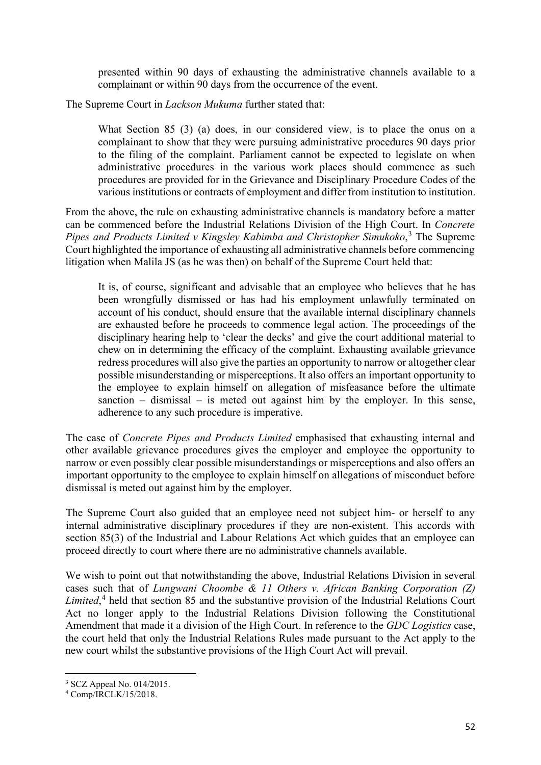presented within 90 days of exhausting the administrative channels available to a complainant or within 90 days from the occurrence of the event.

The Supreme Court in *Lackson Mukuma* further stated that:

What Section 85 (3) (a) does, in our considered view, is to place the onus on a complainant to show that they were pursuing administrative procedures 90 days prior to the filing of the complaint. Parliament cannot be expected to legislate on when administrative procedures in the various work places should commence as such procedures are provided for in the Grievance and Disciplinary Procedure Codes of the various institutions or contracts of employment and differ from institution to institution.

From the above, the rule on exhausting administrative channels is mandatory before a matter can be commenced before the Industrial Relations Division of the High Court. In *Concrete*  Pipes and Products Limited v Kingsley Kabimba and Christopher Simukoko,<sup>[3](#page-3-0)</sup> The Supreme Court highlighted the importance of exhausting all administrative channels before commencing litigation when Malila JS (as he was then) on behalf of the Supreme Court held that:

It is, of course, significant and advisable that an employee who believes that he has been wrongfully dismissed or has had his employment unlawfully terminated on account of his conduct, should ensure that the available internal disciplinary channels are exhausted before he proceeds to commence legal action. The proceedings of the disciplinary hearing help to 'clear the decks' and give the court additional material to chew on in determining the efficacy of the complaint. Exhausting available grievance redress procedures will also give the parties an opportunity to narrow or altogether clear possible misunderstanding or misperceptions. It also offers an important opportunity to the employee to explain himself on allegation of misfeasance before the ultimate sanction – dismissal – is meted out against him by the employer. In this sense, adherence to any such procedure is imperative.

The case of *Concrete Pipes and Products Limited* emphasised that exhausting internal and other available grievance procedures gives the employer and employee the opportunity to narrow or even possibly clear possible misunderstandings or misperceptions and also offers an important opportunity to the employee to explain himself on allegations of misconduct before dismissal is meted out against him by the employer.

The Supreme Court also guided that an employee need not subject him- or herself to any internal administrative disciplinary procedures if they are non-existent. This accords with section 85(3) of the Industrial and Labour Relations Act which guides that an employee can proceed directly to court where there are no administrative channels available.

We wish to point out that notwithstanding the above, Industrial Relations Division in several cases such that of *Lungwani Choombe & 11 Others v. African Banking Corporation (Z) Limited*, [4](#page-3-1) held that section 85 and the substantive provision of the Industrial Relations Court Act no longer apply to the Industrial Relations Division following the Constitutional Amendment that made it a division of the High Court. In reference to the *GDC Logistics* case, the court held that only the Industrial Relations Rules made pursuant to the Act apply to the new court whilst the substantive provisions of the High Court Act will prevail.

<span id="page-3-0"></span><sup>3</sup> SCZ Appeal No. 014/2015.

<span id="page-3-1"></span><sup>4</sup> Comp/IRCLK/15/2018.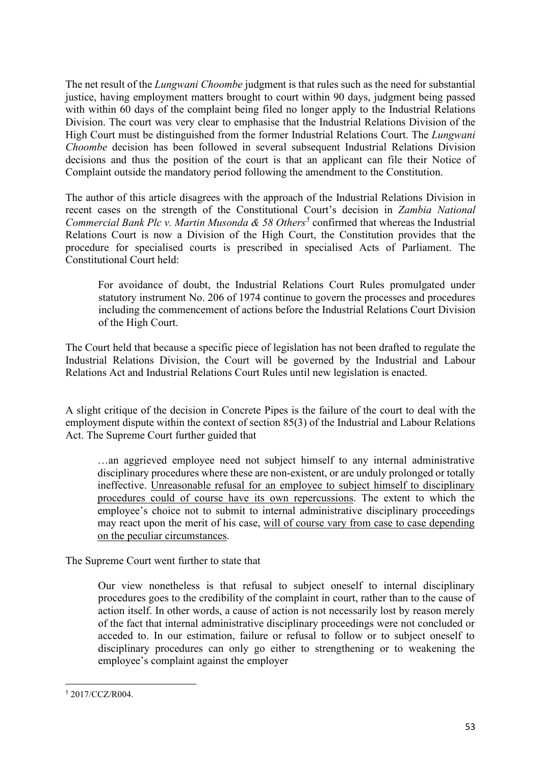The net result of the *Lungwani Choombe* judgment is that rules such as the need for substantial justice, having employment matters brought to court within 90 days, judgment being passed with within 60 days of the complaint being filed no longer apply to the Industrial Relations Division. The court was very clear to emphasise that the Industrial Relations Division of the High Court must be distinguished from the former Industrial Relations Court. The *Lungwani Choombe* decision has been followed in several subsequent Industrial Relations Division decisions and thus the position of the court is that an applicant can file their Notice of Complaint outside the mandatory period following the amendment to the Constitution.

The author of this article disagrees with the approach of the Industrial Relations Division in recent cases on the strength of the Constitutional Court's decision in *Zambia National Commercial Bank Plc v. Martin Musonda & 58 Others[5](#page-4-0)* confirmed that whereas the Industrial Relations Court is now a Division of the High Court, the Constitution provides that the procedure for specialised courts is prescribed in specialised Acts of Parliament. The Constitutional Court held:

For avoidance of doubt, the Industrial Relations Court Rules promulgated under statutory instrument No. 206 of 1974 continue to govern the processes and procedures including the commencement of actions before the Industrial Relations Court Division of the High Court.

The Court held that because a specific piece of legislation has not been drafted to regulate the Industrial Relations Division, the Court will be governed by the Industrial and Labour Relations Act and Industrial Relations Court Rules until new legislation is enacted.

A slight critique of the decision in Concrete Pipes is the failure of the court to deal with the employment dispute within the context of section 85(3) of the Industrial and Labour Relations Act. The Supreme Court further guided that

…an aggrieved employee need not subject himself to any internal administrative disciplinary procedures where these are non-existent, or are unduly prolonged or totally ineffective. Unreasonable refusal for an employee to subject himself to disciplinary procedures could of course have its own repercussions. The extent to which the employee's choice not to submit to internal administrative disciplinary proceedings may react upon the merit of his case, will of course vary from case to case depending on the peculiar circumstances.

The Supreme Court went further to state that

Our view nonetheless is that refusal to subject oneself to internal disciplinary procedures goes to the credibility of the complaint in court, rather than to the cause of action itself. In other words, a cause of action is not necessarily lost by reason merely of the fact that internal administrative disciplinary proceedings were not concluded or acceded to. In our estimation, failure or refusal to follow or to subject oneself to disciplinary procedures can only go either to strengthening or to weakening the employee's complaint against the employer

<span id="page-4-0"></span><sup>5</sup> 2017/CCZ/R004.